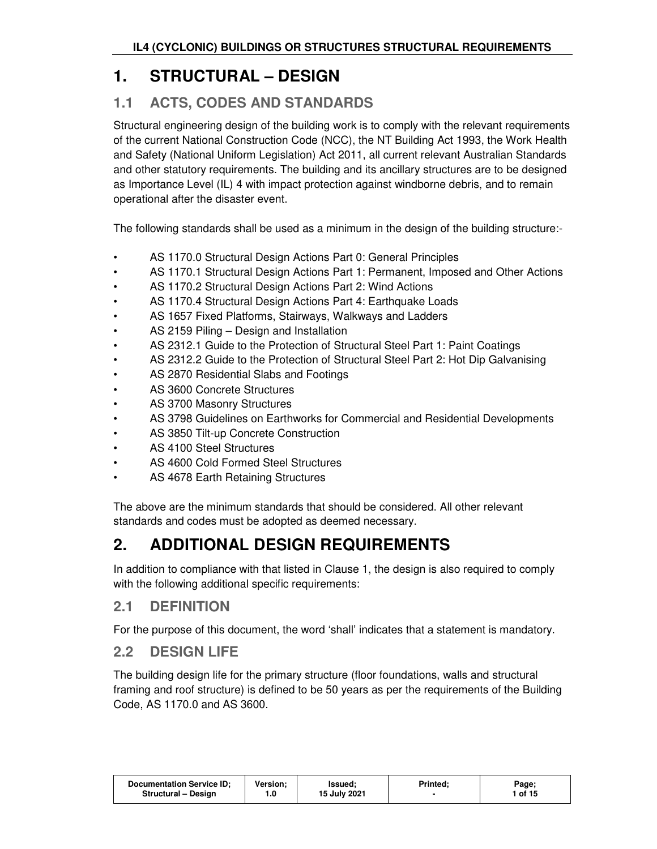# **1. STRUCTURAL – DESIGN**

## **1.1 ACTS, CODES AND STANDARDS**

Structural engineering design of the building work is to comply with the relevant requirements of the current National Construction Code (NCC), the NT Building Act 1993, the Work Health and Safety (National Uniform Legislation) Act 2011, all current relevant Australian Standards and other statutory requirements. The building and its ancillary structures are to be designed as Importance Level (IL) 4 with impact protection against windborne debris, and to remain operational after the disaster event.

The following standards shall be used as a minimum in the design of the building structure:-

- AS 1170.0 Structural Design Actions Part 0: General Principles
- AS 1170.1 Structural Design Actions Part 1: Permanent, Imposed and Other Actions
- AS 1170.2 Structural Design Actions Part 2: Wind Actions
- AS 1170.4 Structural Design Actions Part 4: Earthquake Loads
- AS 1657 Fixed Platforms, Stairways, Walkways and Ladders
- AS 2159 Piling Design and Installation
- AS 2312.1 Guide to the Protection of Structural Steel Part 1: Paint Coatings
- AS 2312.2 Guide to the Protection of Structural Steel Part 2: Hot Dip Galvanising
- AS 2870 Residential Slabs and Footings
- AS 3600 Concrete Structures
- AS 3700 Masonry Structures
- AS 3798 Guidelines on Earthworks for Commercial and Residential Developments
- AS 3850 Tilt-up Concrete Construction
- AS 4100 Steel Structures
- AS 4600 Cold Formed Steel Structures
- AS 4678 Earth Retaining Structures

The above are the minimum standards that should be considered. All other relevant standards and codes must be adopted as deemed necessary.

# **2. ADDITIONAL DESIGN REQUIREMENTS**

In addition to compliance with that listed in Clause 1, the design is also required to comply with the following additional specific requirements:

## **2.1 DEFINITION**

For the purpose of this document, the word 'shall' indicates that a statement is mandatory.

### **2.2 DESIGN LIFE**

The building design life for the primary structure (floor foundations, walls and structural framing and roof structure) is defined to be 50 years as per the requirements of the Building Code, AS 1170.0 and AS 3600.

| 15 July 2021<br>1 of 15<br><b>Structural - Design</b><br>1.0 | <b>Documentation Service ID:</b> | <b>Version:</b> | Issued: | Printed: | Page; |
|--------------------------------------------------------------|----------------------------------|-----------------|---------|----------|-------|
|--------------------------------------------------------------|----------------------------------|-----------------|---------|----------|-------|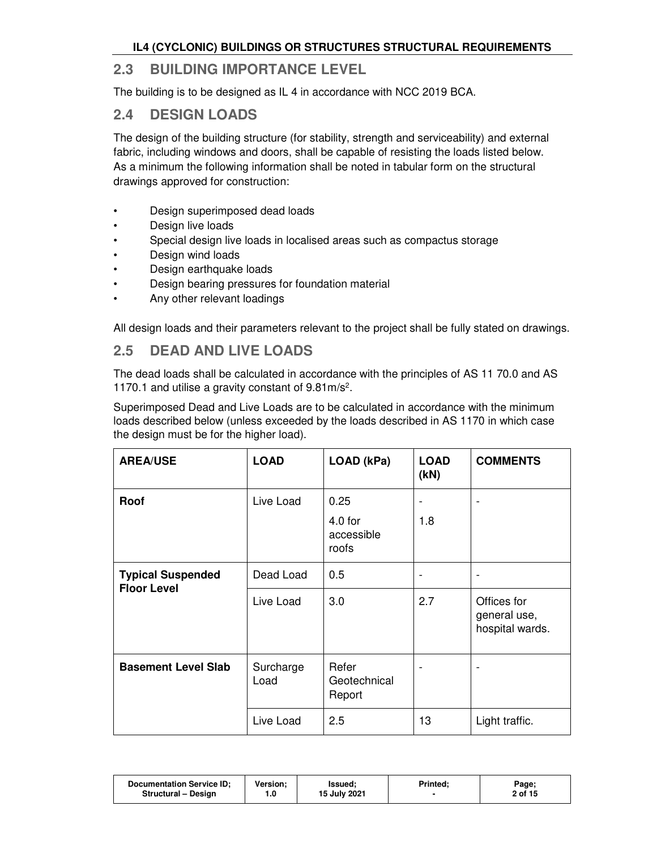## **2.3 BUILDING IMPORTANCE LEVEL**

The building is to be designed as IL 4 in accordance with NCC 2019 BCA.

## **2.4 DESIGN LOADS**

The design of the building structure (for stability, strength and serviceability) and external fabric, including windows and doors, shall be capable of resisting the loads listed below. As a minimum the following information shall be noted in tabular form on the structural drawings approved for construction:

- Design superimposed dead loads
- Design live loads
- Special design live loads in localised areas such as compactus storage
- Design wind loads
- Design earthquake loads
- Design bearing pressures for foundation material
- Any other relevant loadings

All design loads and their parameters relevant to the project shall be fully stated on drawings.

### **2.5 DEAD AND LIVE LOADS**

The dead loads shall be calculated in accordance with the principles of AS 11 70.0 and AS 1170.1 and utilise a gravity constant of 9.81m/s<sup>2</sup> .

Superimposed Dead and Live Loads are to be calculated in accordance with the minimum loads described below (unless exceeded by the loads described in AS 1170 in which case the design must be for the higher load).

| <b>AREA/USE</b>                                | <b>LOAD</b>       | LOAD (kPa)                               | <b>LOAD</b><br>(KN) | <b>COMMENTS</b>                                |
|------------------------------------------------|-------------------|------------------------------------------|---------------------|------------------------------------------------|
| Roof                                           | Live Load         | 0.25<br>$4.0$ for<br>accessible<br>roofs | 1.8                 |                                                |
| <b>Typical Suspended</b><br><b>Floor Level</b> | Dead Load         | 0.5                                      | ۰                   | $\overline{\phantom{a}}$                       |
|                                                | Live Load         | 3.0                                      | 2.7                 | Offices for<br>general use,<br>hospital wards. |
| <b>Basement Level Slab</b>                     | Surcharge<br>Load | Refer<br>Geotechnical<br>Report          |                     | $\overline{a}$                                 |
|                                                | Live Load         | 2.5                                      | 13                  | Light traffic.                                 |

| Documentation Service ID; | <b>Version:</b> | Issued:      | Printed: | Page;   |
|---------------------------|-----------------|--------------|----------|---------|
| Structural - Design       | 1.0             | 15 July 2021 |          | 2 of 15 |
|                           |                 |              |          |         |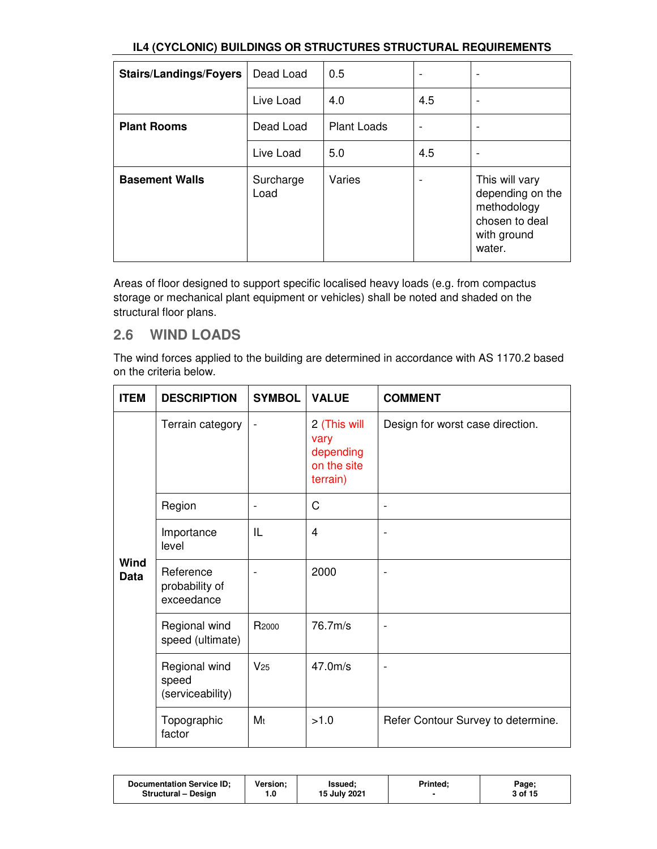| <b>Stairs/Landings/Foyers</b> | Dead Load         | 0.5                |                          |                                                                                              |
|-------------------------------|-------------------|--------------------|--------------------------|----------------------------------------------------------------------------------------------|
|                               | Live Load         | 4.0                | 4.5                      | ۰                                                                                            |
| <b>Plant Rooms</b>            | Dead Load         | <b>Plant Loads</b> | $\overline{\phantom{a}}$ | -                                                                                            |
|                               | Live Load         | 5.0                | 4.5                      |                                                                                              |
| <b>Basement Walls</b>         | Surcharge<br>Load | Varies             |                          | This will vary<br>depending on the<br>methodology<br>chosen to deal<br>with ground<br>water. |

Areas of floor designed to support specific localised heavy loads (e.g. from compactus storage or mechanical plant equipment or vehicles) shall be noted and shaded on the structural floor plans.

## **2.6 WIND LOADS**

The wind forces applied to the building are determined in accordance with AS 1170.2 based on the criteria below.

| <b>ITEM</b>         | <b>DESCRIPTION</b>                         | <b>SYMBOL</b>            | <b>VALUE</b>                                                 | <b>COMMENT</b>                     |
|---------------------|--------------------------------------------|--------------------------|--------------------------------------------------------------|------------------------------------|
|                     | Terrain category                           | $\overline{\phantom{a}}$ | 2 (This will<br>vary<br>depending<br>on the site<br>terrain) | Design for worst case direction.   |
|                     | Region                                     |                          | C                                                            | $\overline{a}$                     |
|                     | Importance<br>level                        | IL                       | $\overline{4}$                                               | ۰                                  |
| Wind<br><b>Data</b> | Reference<br>probability of<br>exceedance  |                          | 2000                                                         | -                                  |
|                     | Regional wind<br>speed (ultimate)          | R <sub>2000</sub>        | 76.7m/s                                                      | ۰                                  |
|                     | Regional wind<br>speed<br>(serviceability) | V <sub>25</sub>          | 47.0 <sub>m/s</sub>                                          |                                    |
|                     | Topographic<br>factor                      | M <sub>t</sub>           | >1.0                                                         | Refer Contour Survey to determine. |

| <b>Documentation Service ID:</b> | Version: | <b>Issued:</b> | <b>Printed:</b> | Page;   |
|----------------------------------|----------|----------------|-----------------|---------|
| Structural - Design              | 1.0      | 15 July 2021   |                 | 3 of 15 |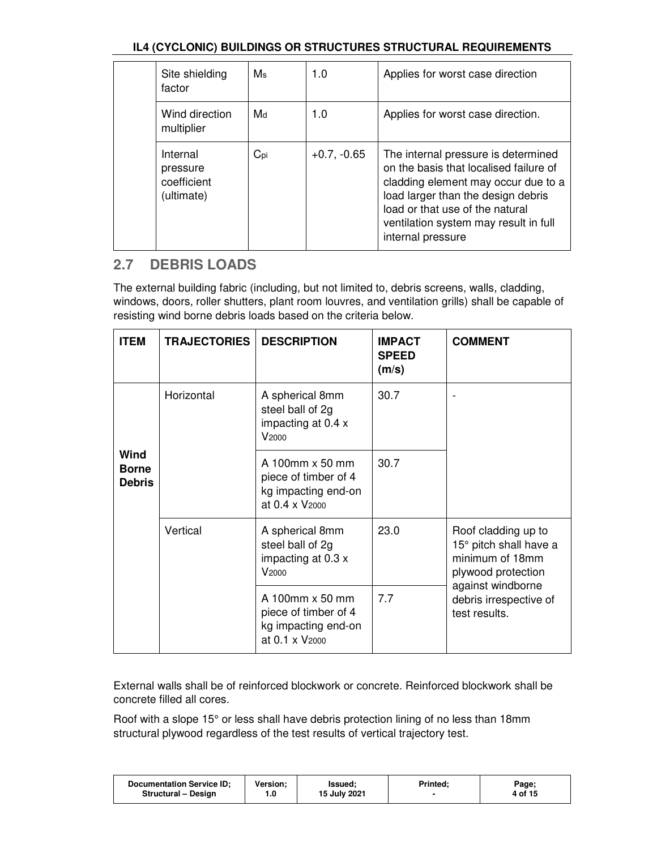| Site shielding<br>factor                          | $M_s$           | 1.0           | Applies for worst case direction                                                                                                                                                                                                                            |
|---------------------------------------------------|-----------------|---------------|-------------------------------------------------------------------------------------------------------------------------------------------------------------------------------------------------------------------------------------------------------------|
| Wind direction<br>multiplier                      | Md              | 1.0           | Applies for worst case direction.                                                                                                                                                                                                                           |
| Internal<br>pressure<br>coefficient<br>(ultimate) | $C_{\text{pi}}$ | $+0.7, -0.65$ | The internal pressure is determined<br>on the basis that localised failure of<br>cladding element may occur due to a<br>load larger than the design debris<br>load or that use of the natural<br>ventilation system may result in full<br>internal pressure |

## **2.7 DEBRIS LOADS**

The external building fabric (including, but not limited to, debris screens, walls, cladding, windows, doors, roller shutters, plant room louvres, and ventilation grills) shall be capable of resisting wind borne debris loads based on the criteria below.

| <b>ITEM</b>                           | <b>TRAJECTORIES</b> | <b>DESCRIPTION</b>                                                                           | <b>IMPACT</b><br><b>SPEED</b><br>(m/s) | <b>COMMENT</b>                                                                                              |
|---------------------------------------|---------------------|----------------------------------------------------------------------------------------------|----------------------------------------|-------------------------------------------------------------------------------------------------------------|
|                                       | Horizontal          | A spherical 8mm<br>steel ball of 2g<br>impacting at 0.4 x<br>V <sub>2000</sub>               | 30.7                                   |                                                                                                             |
| Wind<br><b>Borne</b><br><b>Debris</b> |                     | A 100mm x 50 mm<br>piece of timber of 4<br>kg impacting end-on<br>at 0.4 x V <sub>2000</sub> | 30.7                                   |                                                                                                             |
|                                       | Vertical            | A spherical 8mm<br>steel ball of 2g<br>impacting at 0.3 x<br>V <sub>2000</sub>               | 23.0                                   | Roof cladding up to<br>15° pitch shall have a<br>minimum of 18mm<br>plywood protection<br>against windborne |
|                                       |                     | A 100mm x 50 mm<br>piece of timber of 4<br>kg impacting end-on<br>at 0.1 x V <sub>2000</sub> | 7.7                                    | debris irrespective of<br>test results.                                                                     |

External walls shall be of reinforced blockwork or concrete. Reinforced blockwork shall be concrete filled all cores.

Roof with a slope 15° or less shall have debris protection lining of no less than 18mm structural plywood regardless of the test results of vertical trajectory test.

| <b>Documentation Service ID:</b> | Version: | Issued:      | <b>Printed:</b> | Page;   |
|----------------------------------|----------|--------------|-----------------|---------|
| Structural - Design              | 0. ا     | 15 July 2021 |                 | 4 of 15 |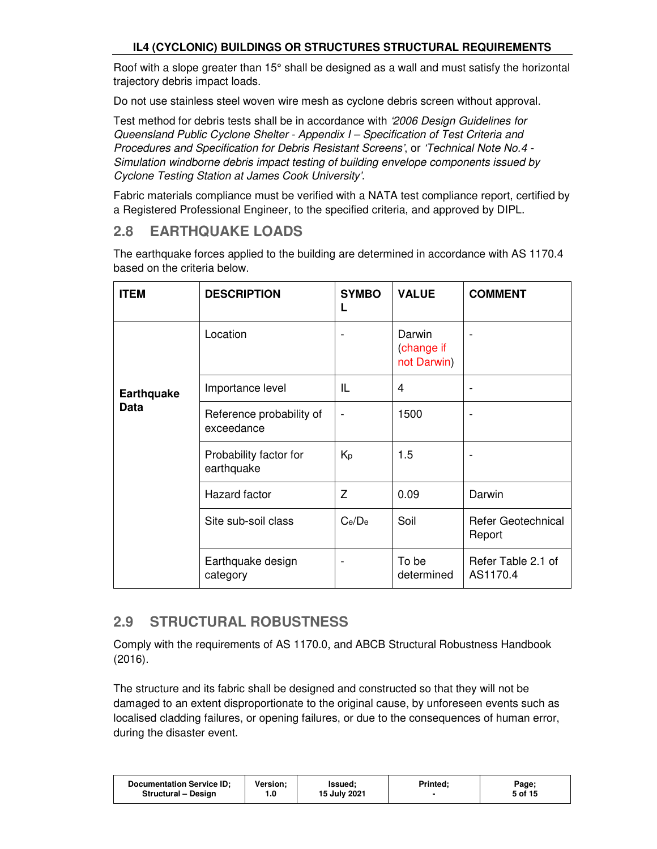Roof with a slope greater than 15° shall be designed as a wall and must satisfy the horizontal trajectory debris impact loads.

Do not use stainless steel woven wire mesh as cyclone debris screen without approval.

Test method for debris tests shall be in accordance with '2006 Design Guidelines for Queensland Public Cyclone Shelter - Appendix I – Specification of Test Criteria and Procedures and Specification for Debris Resistant Screens', or 'Technical Note No.4 - Simulation windborne debris impact testing of building envelope components issued by Cyclone Testing Station at James Cook University'.

Fabric materials compliance must be verified with a NATA test compliance report, certified by a Registered Professional Engineer, to the specified criteria, and approved by DIPL.

## **2.8 EARTHQUAKE LOADS**

The earthquake forces applied to the building are determined in accordance with AS 1170.4 based on the criteria below.

| <b>ITEM</b>       | <b>DESCRIPTION</b>                     | <b>SYMBO</b><br>L        | <b>VALUE</b>                        | <b>COMMENT</b>                      |
|-------------------|----------------------------------------|--------------------------|-------------------------------------|-------------------------------------|
|                   | Location                               |                          | Darwin<br>(change if<br>not Darwin) | $\overline{a}$                      |
| <b>Earthquake</b> | Importance level                       | IL                       | 4                                   | $\overline{\phantom{a}}$            |
| <b>Data</b>       | Reference probability of<br>exceedance | $\blacksquare$           | 1500                                | -                                   |
|                   | Probability factor for<br>earthquake   | Кp                       | 1.5                                 | $\overline{a}$                      |
|                   | <b>Hazard</b> factor                   | Z                        | 0.09                                | Darwin                              |
|                   | Site sub-soil class                    | Ce/De                    | Soil                                | <b>Refer Geotechnical</b><br>Report |
|                   | Earthquake design<br>category          | $\overline{\phantom{a}}$ | To be<br>determined                 | Refer Table 2.1 of<br>AS1170.4      |

## **2.9 STRUCTURAL ROBUSTNESS**

Comply with the requirements of AS 1170.0, and ABCB Structural Robustness Handbook (2016).

The structure and its fabric shall be designed and constructed so that they will not be damaged to an extent disproportionate to the original cause, by unforeseen events such as localised cladding failures, or opening failures, or due to the consequences of human error, during the disaster event.

| <b>Documentation Service ID:</b><br><b>Structural - Design</b> | <b>Version:</b> | Issued:<br>15 July 2021 | <b>Printed:</b> | Page;<br>5 of 15 |
|----------------------------------------------------------------|-----------------|-------------------------|-----------------|------------------|
|----------------------------------------------------------------|-----------------|-------------------------|-----------------|------------------|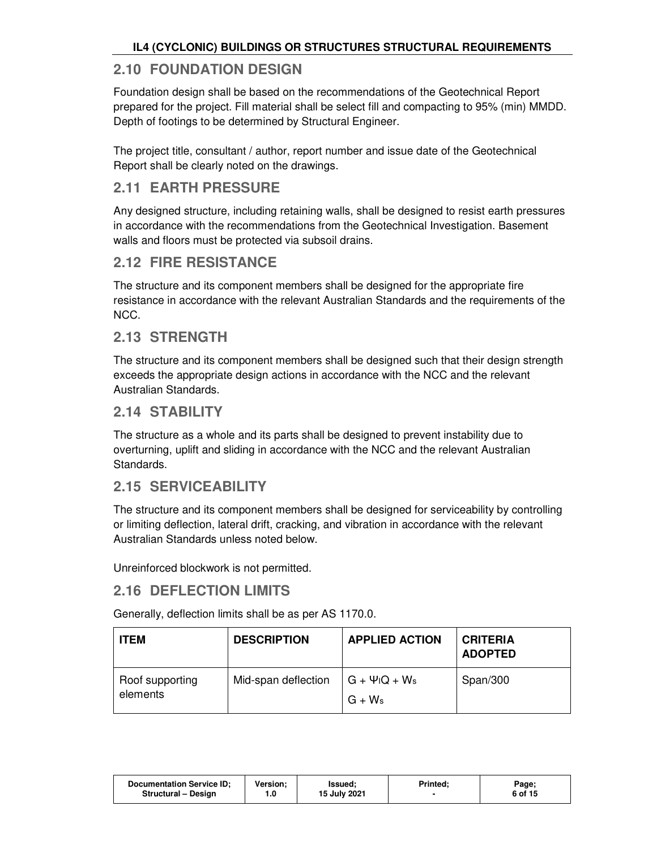## **2.10 FOUNDATION DESIGN**

Foundation design shall be based on the recommendations of the Geotechnical Report prepared for the project. Fill material shall be select fill and compacting to 95% (min) MMDD. Depth of footings to be determined by Structural Engineer.

The project title, consultant / author, report number and issue date of the Geotechnical Report shall be clearly noted on the drawings.

## **2.11 EARTH PRESSURE**

Any designed structure, including retaining walls, shall be designed to resist earth pressures in accordance with the recommendations from the Geotechnical Investigation. Basement walls and floors must be protected via subsoil drains.

### **2.12 FIRE RESISTANCE**

The structure and its component members shall be designed for the appropriate fire resistance in accordance with the relevant Australian Standards and the requirements of the NCC.

### **2.13 STRENGTH**

The structure and its component members shall be designed such that their design strength exceeds the appropriate design actions in accordance with the NCC and the relevant Australian Standards.

### **2.14 STABILITY**

The structure as a whole and its parts shall be designed to prevent instability due to overturning, uplift and sliding in accordance with the NCC and the relevant Australian Standards.

## **2.15 SERVICEABILITY**

The structure and its component members shall be designed for serviceability by controlling or limiting deflection, lateral drift, cracking, and vibration in accordance with the relevant Australian Standards unless noted below.

Unreinforced blockwork is not permitted.

## **2.16 DEFLECTION LIMITS**

Generally, deflection limits shall be as per AS 1170.0.

| <b>ITEM</b>                 | <b>DESCRIPTION</b>  | <b>APPLIED ACTION</b>     | <b>CRITERIA</b><br><b>ADOPTED</b> |
|-----------------------------|---------------------|---------------------------|-----------------------------------|
| Roof supporting<br>elements | Mid-span deflection | G + ΨιQ + Ws<br>$G + W_s$ | Span/300                          |

| <b>Documentation Service ID:</b> | Version: | lssued;      | <b>Printed:</b> | Page;   |
|----------------------------------|----------|--------------|-----------------|---------|
| Structural - Design              | 1.0      | 15 July 2021 |                 | 6 of 15 |
|                                  |          |              |                 |         |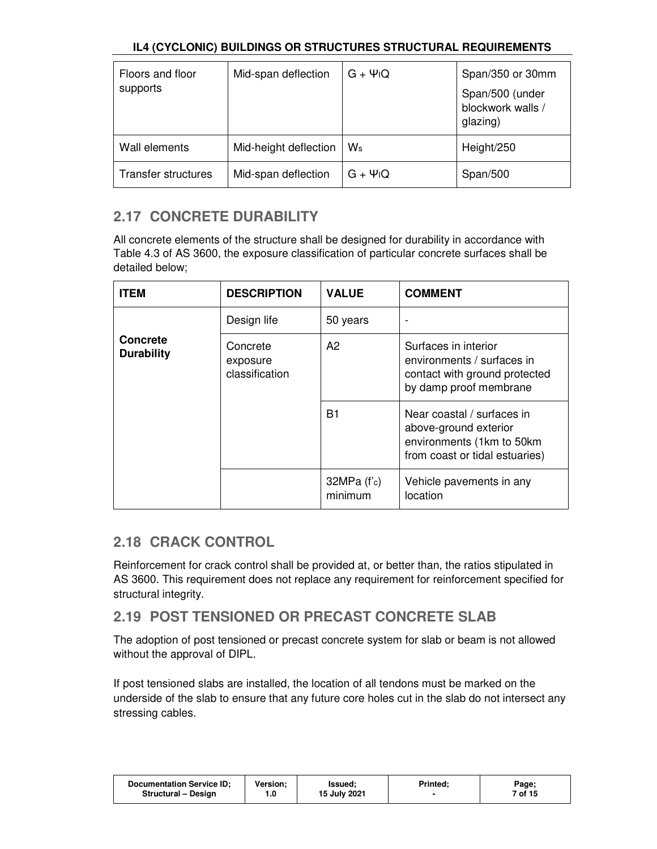| Floors and floor    | Mid-span deflection   | $G + \Psi$ <sub>I</sub> Q | Span/350 or 30mm                                 |
|---------------------|-----------------------|---------------------------|--------------------------------------------------|
| supports            |                       |                           | Span/500 (under<br>blockwork walls /<br>glazing) |
| Wall elements       | Mid-height deflection | $W_{\rm s}$               | Height/250                                       |
| Transfer structures | Mid-span deflection   | $G + \Psi$ <sub>I</sub> Q | Span/500                                         |

## **2.17 CONCRETE DURABILITY**

All concrete elements of the structure shall be designed for durability in accordance with Table 4.3 of AS 3600, the exposure classification of particular concrete surfaces shall be detailed below;

| <b>ITEM</b>                          | <b>DESCRIPTION</b>                     | <b>VALUE</b>             | <b>COMMENT</b>                                                                                                     |
|--------------------------------------|----------------------------------------|--------------------------|--------------------------------------------------------------------------------------------------------------------|
|                                      | Design life                            | 50 years                 |                                                                                                                    |
| <b>Concrete</b><br><b>Durability</b> | Concrete<br>exposure<br>classification | A2                       | Surfaces in interior<br>environments / surfaces in<br>contact with ground protected<br>by damp proof membrane      |
|                                      |                                        | B1                       | Near coastal / surfaces in<br>above-ground exterior<br>environments (1km to 50km<br>from coast or tidal estuaries) |
|                                      |                                        | $32MPa$ (f'c)<br>minimum | Vehicle pavements in any<br>location                                                                               |

## **2.18 CRACK CONTROL**

Reinforcement for crack control shall be provided at, or better than, the ratios stipulated in AS 3600. This requirement does not replace any requirement for reinforcement specified for structural integrity.

## **2.19 POST TENSIONED OR PRECAST CONCRETE SLAB**

The adoption of post tensioned or precast concrete system for slab or beam is not allowed without the approval of DIPL.

If post tensioned slabs are installed, the location of all tendons must be marked on the underside of the slab to ensure that any future core holes cut in the slab do not intersect any stressing cables.

| <b>Documentation Service ID:</b> | Version: | lssued:      | Printed: | Page;   |
|----------------------------------|----------|--------------|----------|---------|
| Structural - Design              | 1.0      | 15 July 2021 |          | 7 of 15 |
|                                  |          |              |          |         |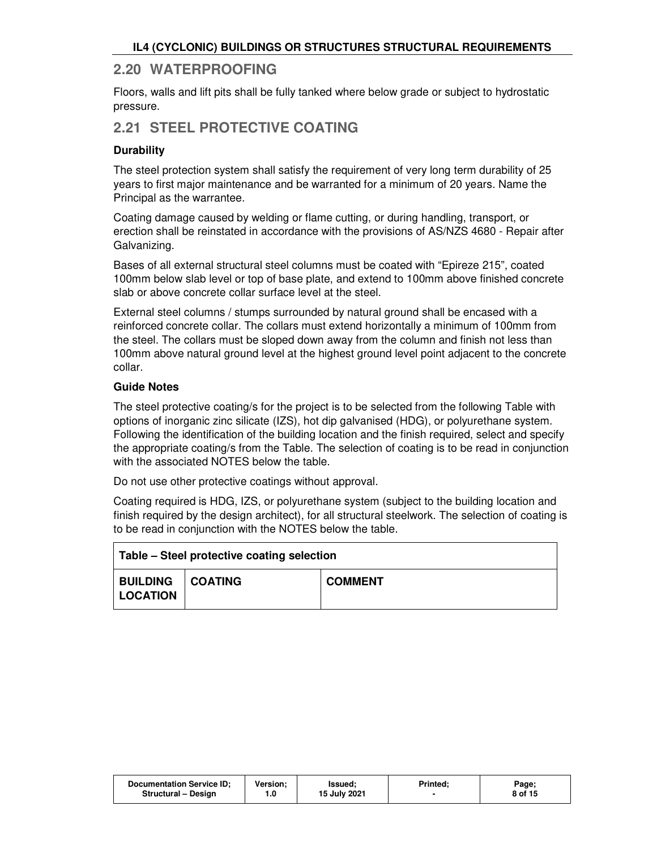### **2.20 WATERPROOFING**

Floors, walls and lift pits shall be fully tanked where below grade or subject to hydrostatic pressure.

## **2.21 STEEL PROTECTIVE COATING**

#### **Durability**

The steel protection system shall satisfy the requirement of very long term durability of 25 years to first major maintenance and be warranted for a minimum of 20 years. Name the Principal as the warrantee.

Coating damage caused by welding or flame cutting, or during handling, transport, or erection shall be reinstated in accordance with the provisions of AS/NZS 4680 - Repair after Galvanizing.

Bases of all external structural steel columns must be coated with "Epireze 215", coated 100mm below slab level or top of base plate, and extend to 100mm above finished concrete slab or above concrete collar surface level at the steel.

External steel columns / stumps surrounded by natural ground shall be encased with a reinforced concrete collar. The collars must extend horizontally a minimum of 100mm from the steel. The collars must be sloped down away from the column and finish not less than 100mm above natural ground level at the highest ground level point adjacent to the concrete collar.

#### **Guide Notes**

The steel protective coating/s for the project is to be selected from the following Table with options of inorganic zinc silicate (IZS), hot dip galvanised (HDG), or polyurethane system. Following the identification of the building location and the finish required, select and specify the appropriate coating/s from the Table. The selection of coating is to be read in conjunction with the associated NOTES below the table.

Do not use other protective coatings without approval.

Coating required is HDG, IZS, or polyurethane system (subject to the building location and finish required by the design architect), for all structural steelwork. The selection of coating is to be read in conjunction with the NOTES below the table.

| Table – Steel protective coating selection   |  |                |  |  |  |
|----------------------------------------------|--|----------------|--|--|--|
| <b>BUILDING   COATING</b><br><b>LOCATION</b> |  | <b>COMMENT</b> |  |  |  |

| <b>Documentation Service ID:</b> | <b>Version:</b> | Issued:      | Printed: | Page;   |
|----------------------------------|-----------------|--------------|----------|---------|
| <b>Structural - Design</b>       |                 | 15 July 2021 |          | 8 of 15 |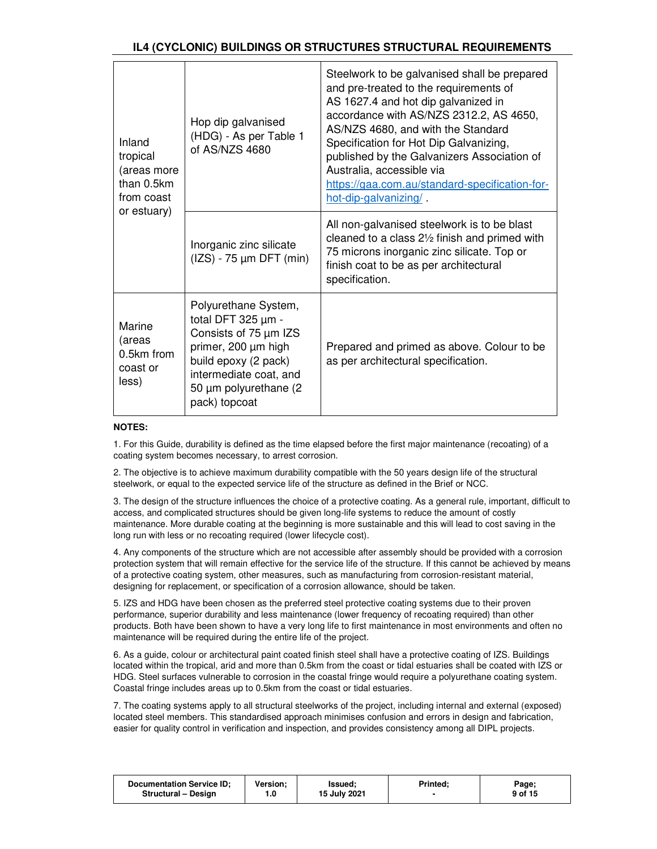| Inland<br>tropical<br>(areas more<br>than 0.5km<br>from coast<br>or estuary) | Hop dip galvanised<br>(HDG) - As per Table 1<br>of AS/NZS 4680                                                                                                                               | Steelwork to be galvanised shall be prepared<br>and pre-treated to the requirements of<br>AS 1627.4 and hot dip galvanized in<br>accordance with AS/NZS 2312.2, AS 4650,<br>AS/NZS 4680, and with the Standard<br>Specification for Hot Dip Galvanizing,<br>published by the Galvanizers Association of<br>Australia, accessible via<br>https://gaa.com.au/standard-specification-for-<br>hot-dip-galvanizing/ |
|------------------------------------------------------------------------------|----------------------------------------------------------------------------------------------------------------------------------------------------------------------------------------------|----------------------------------------------------------------------------------------------------------------------------------------------------------------------------------------------------------------------------------------------------------------------------------------------------------------------------------------------------------------------------------------------------------------|
|                                                                              | Inorganic zinc silicate<br>$(IZS) - 75 \mu m$ DFT $(min)$                                                                                                                                    | All non-galvanised steelwork is to be blast<br>cleaned to a class $2\frac{1}{2}$ finish and primed with<br>75 microns inorganic zinc silicate. Top or<br>finish coat to be as per architectural<br>specification.                                                                                                                                                                                              |
| Marine<br>(areas<br>$0.5km$ from<br>coast or<br>less)                        | Polyurethane System,<br>total DFT $325 \mu m -$<br>Consists of 75 µm IZS<br>primer, 200 µm high<br>build epoxy (2 pack)<br>intermediate coat, and<br>50 µm polyurethane (2)<br>pack) topcoat | Prepared and primed as above. Colour to be<br>as per architectural specification.                                                                                                                                                                                                                                                                                                                              |

#### **NOTES:**

1. For this Guide, durability is defined as the time elapsed before the first major maintenance (recoating) of a coating system becomes necessary, to arrest corrosion.

2. The objective is to achieve maximum durability compatible with the 50 years design life of the structural steelwork, or equal to the expected service life of the structure as defined in the Brief or NCC.

3. The design of the structure influences the choice of a protective coating. As a general rule, important, difficult to access, and complicated structures should be given long-life systems to reduce the amount of costly maintenance. More durable coating at the beginning is more sustainable and this will lead to cost saving in the long run with less or no recoating required (lower lifecycle cost).

4. Any components of the structure which are not accessible after assembly should be provided with a corrosion protection system that will remain effective for the service life of the structure. If this cannot be achieved by means of a protective coating system, other measures, such as manufacturing from corrosion-resistant material, designing for replacement, or specification of a corrosion allowance, should be taken.

5. IZS and HDG have been chosen as the preferred steel protective coating systems due to their proven performance, superior durability and less maintenance (lower frequency of recoating required) than other products. Both have been shown to have a very long life to first maintenance in most environments and often no maintenance will be required during the entire life of the project.

6. As a guide, colour or architectural paint coated finish steel shall have a protective coating of IZS. Buildings located within the tropical, arid and more than 0.5km from the coast or tidal estuaries shall be coated with IZS or HDG. Steel surfaces vulnerable to corrosion in the coastal fringe would require a polyurethane coating system. Coastal fringe includes areas up to 0.5km from the coast or tidal estuaries.

7. The coating systems apply to all structural steelworks of the project, including internal and external (exposed) located steel members. This standardised approach minimises confusion and errors in design and fabrication, easier for quality control in verification and inspection, and provides consistency among all DIPL projects.

| <b>Documentation Service ID:</b> | <b>Version:</b> | lssued:      | <b>Printed:</b> | Page;   |
|----------------------------------|-----------------|--------------|-----------------|---------|
| Structural - Design              |                 | 15 July 2021 |                 | 9 of 15 |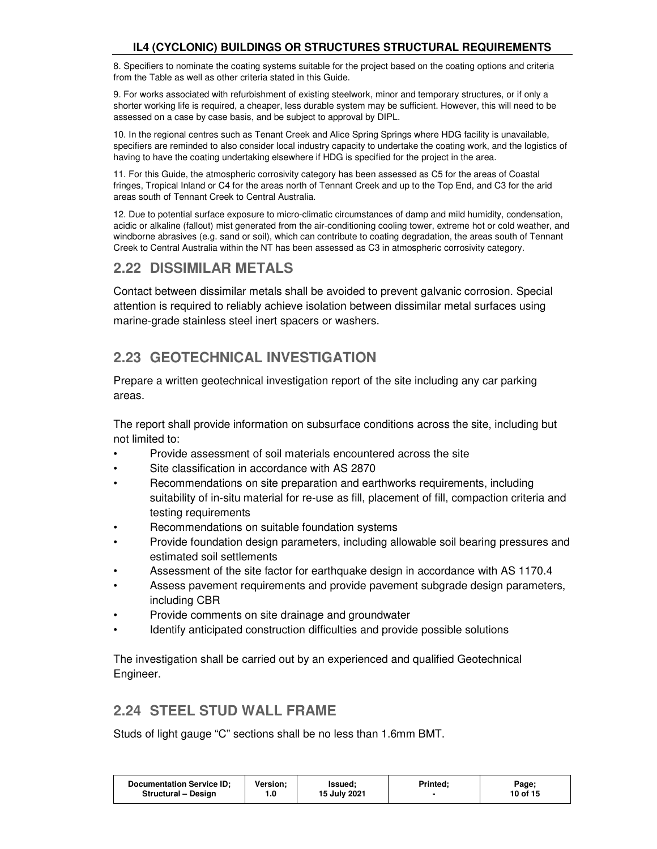8. Specifiers to nominate the coating systems suitable for the project based on the coating options and criteria from the Table as well as other criteria stated in this Guide.

9. For works associated with refurbishment of existing steelwork, minor and temporary structures, or if only a shorter working life is required, a cheaper, less durable system may be sufficient. However, this will need to be assessed on a case by case basis, and be subject to approval by DIPL.

10. In the regional centres such as Tenant Creek and Alice Spring Springs where HDG facility is unavailable, specifiers are reminded to also consider local industry capacity to undertake the coating work, and the logistics of having to have the coating undertaking elsewhere if HDG is specified for the project in the area.

11. For this Guide, the atmospheric corrosivity category has been assessed as C5 for the areas of Coastal fringes, Tropical Inland or C4 for the areas north of Tennant Creek and up to the Top End, and C3 for the arid areas south of Tennant Creek to Central Australia.

12. Due to potential surface exposure to micro-climatic circumstances of damp and mild humidity, condensation, acidic or alkaline (fallout) mist generated from the air-conditioning cooling tower, extreme hot or cold weather, and windborne abrasives (e.g. sand or soil), which can contribute to coating degradation, the areas south of Tennant Creek to Central Australia within the NT has been assessed as C3 in atmospheric corrosivity category.

### **2.22 DISSIMILAR METALS**

Contact between dissimilar metals shall be avoided to prevent galvanic corrosion. Special attention is required to reliably achieve isolation between dissimilar metal surfaces using marine-grade stainless steel inert spacers or washers.

## **2.23 GEOTECHNICAL INVESTIGATION**

Prepare a written geotechnical investigation report of the site including any car parking areas.

The report shall provide information on subsurface conditions across the site, including but not limited to:

- Provide assessment of soil materials encountered across the site
- Site classification in accordance with AS 2870
- Recommendations on site preparation and earthworks requirements, including suitability of in-situ material for re-use as fill, placement of fill, compaction criteria and testing requirements
- Recommendations on suitable foundation systems
- Provide foundation design parameters, including allowable soil bearing pressures and estimated soil settlements
- Assessment of the site factor for earthquake design in accordance with AS 1170.4
- Assess pavement requirements and provide pavement subgrade design parameters, including CBR
- Provide comments on site drainage and groundwater
- Identify anticipated construction difficulties and provide possible solutions

The investigation shall be carried out by an experienced and qualified Geotechnical Engineer.

### **2.24 STEEL STUD WALL FRAME**

Studs of light gauge "C" sections shall be no less than 1.6mm BMT.

| 15 July 2021<br>10 of 15<br>Structural - Design<br>. 0 | <b>Documentation Service ID:</b> | Version: | <b>Issued:</b> | Printed: | Page; |
|--------------------------------------------------------|----------------------------------|----------|----------------|----------|-------|
|--------------------------------------------------------|----------------------------------|----------|----------------|----------|-------|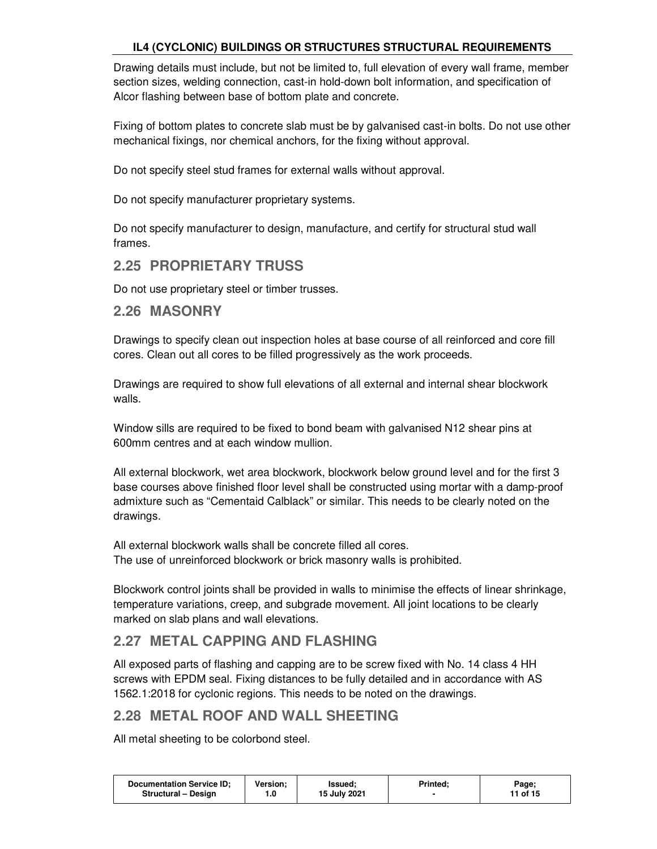Drawing details must include, but not be limited to, full elevation of every wall frame, member section sizes, welding connection, cast-in hold-down bolt information, and specification of Alcor flashing between base of bottom plate and concrete.

Fixing of bottom plates to concrete slab must be by galvanised cast-in bolts. Do not use other mechanical fixings, nor chemical anchors, for the fixing without approval.

Do not specify steel stud frames for external walls without approval.

Do not specify manufacturer proprietary systems.

Do not specify manufacturer to design, manufacture, and certify for structural stud wall frames.

### **2.25 PROPRIETARY TRUSS**

Do not use proprietary steel or timber trusses.

### **2.26 MASONRY**

Drawings to specify clean out inspection holes at base course of all reinforced and core fill cores. Clean out all cores to be filled progressively as the work proceeds.

Drawings are required to show full elevations of all external and internal shear blockwork walls.

Window sills are required to be fixed to bond beam with galvanised N12 shear pins at 600mm centres and at each window mullion.

All external blockwork, wet area blockwork, blockwork below ground level and for the first 3 base courses above finished floor level shall be constructed using mortar with a damp-proof admixture such as "Cementaid Calblack" or similar. This needs to be clearly noted on the drawings.

All external blockwork walls shall be concrete filled all cores. The use of unreinforced blockwork or brick masonry walls is prohibited.

Blockwork control joints shall be provided in walls to minimise the effects of linear shrinkage, temperature variations, creep, and subgrade movement. All joint locations to be clearly marked on slab plans and wall elevations.

## **2.27 METAL CAPPING AND FLASHING**

All exposed parts of flashing and capping are to be screw fixed with No. 14 class 4 HH screws with EPDM seal. Fixing distances to be fully detailed and in accordance with AS 1562.1:2018 for cyclonic regions. This needs to be noted on the drawings.

## **2.28 METAL ROOF AND WALL SHEETING**

All metal sheeting to be colorbond steel.

| <b>Documentation Service ID:</b><br>Printed:<br><b>Version:</b><br>lssued:<br>Page;<br>15 July 2021<br>11 of 15<br><b>Structural – Design</b> |
|-----------------------------------------------------------------------------------------------------------------------------------------------|
|-----------------------------------------------------------------------------------------------------------------------------------------------|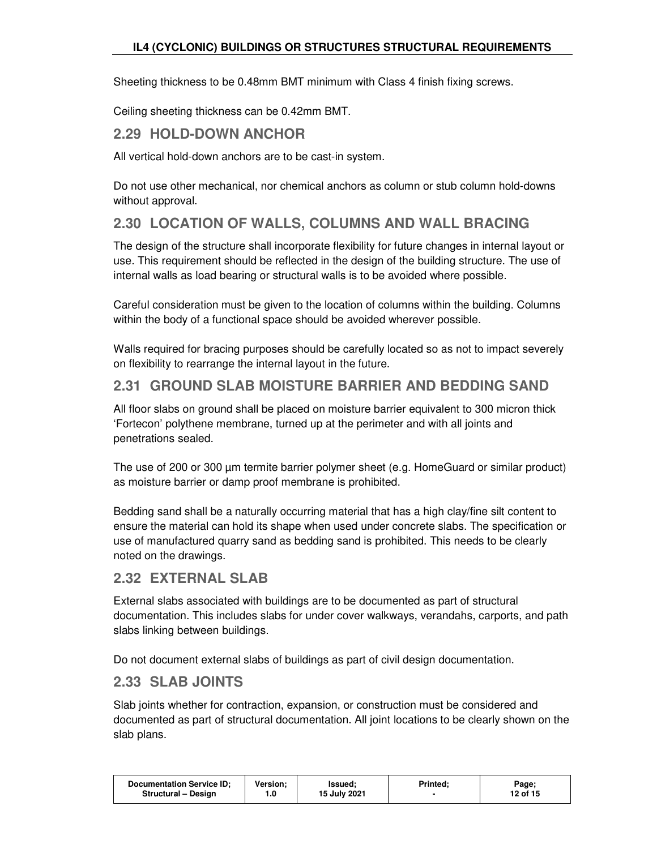Sheeting thickness to be 0.48mm BMT minimum with Class 4 finish fixing screws.

Ceiling sheeting thickness can be 0.42mm BMT.

## **2.29 HOLD-DOWN ANCHOR**

All vertical hold-down anchors are to be cast-in system.

Do not use other mechanical, nor chemical anchors as column or stub column hold-downs without approval.

## **2.30 LOCATION OF WALLS, COLUMNS AND WALL BRACING**

The design of the structure shall incorporate flexibility for future changes in internal layout or use. This requirement should be reflected in the design of the building structure. The use of internal walls as load bearing or structural walls is to be avoided where possible.

Careful consideration must be given to the location of columns within the building. Columns within the body of a functional space should be avoided wherever possible.

Walls required for bracing purposes should be carefully located so as not to impact severely on flexibility to rearrange the internal layout in the future.

## **2.31 GROUND SLAB MOISTURE BARRIER AND BEDDING SAND**

All floor slabs on ground shall be placed on moisture barrier equivalent to 300 micron thick 'Fortecon' polythene membrane, turned up at the perimeter and with all joints and penetrations sealed.

The use of 200 or 300 µm termite barrier polymer sheet (e.g. HomeGuard or similar product) as moisture barrier or damp proof membrane is prohibited.

Bedding sand shall be a naturally occurring material that has a high clay/fine silt content to ensure the material can hold its shape when used under concrete slabs. The specification or use of manufactured quarry sand as bedding sand is prohibited. This needs to be clearly noted on the drawings.

## **2.32 EXTERNAL SLAB**

External slabs associated with buildings are to be documented as part of structural documentation. This includes slabs for under cover walkways, verandahs, carports, and path slabs linking between buildings.

Do not document external slabs of buildings as part of civil design documentation.

## **2.33 SLAB JOINTS**

Slab joints whether for contraction, expansion, or construction must be considered and documented as part of structural documentation. All joint locations to be clearly shown on the slab plans.

| <b>Documentation Service ID:</b><br>Structural - Design | <b>Version:</b> | Issued:<br>15 July 2021 | <b>Printed:</b> | Page;<br>12 of 15 |
|---------------------------------------------------------|-----------------|-------------------------|-----------------|-------------------|
|                                                         |                 |                         |                 |                   |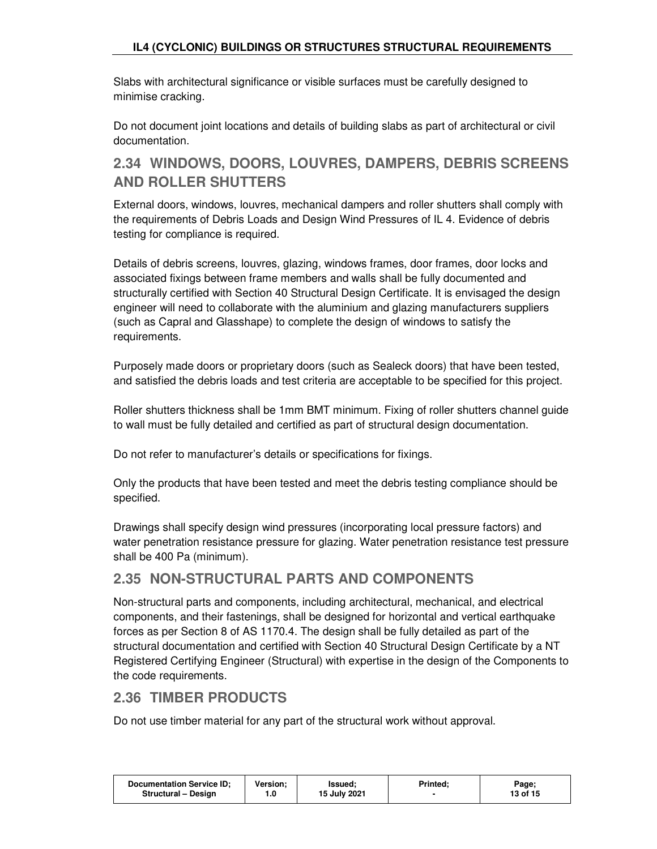Slabs with architectural significance or visible surfaces must be carefully designed to minimise cracking.

Do not document joint locations and details of building slabs as part of architectural or civil documentation.

## **2.34 WINDOWS, DOORS, LOUVRES, DAMPERS, DEBRIS SCREENS AND ROLLER SHUTTERS**

External doors, windows, louvres, mechanical dampers and roller shutters shall comply with the requirements of Debris Loads and Design Wind Pressures of IL 4. Evidence of debris testing for compliance is required.

Details of debris screens, louvres, glazing, windows frames, door frames, door locks and associated fixings between frame members and walls shall be fully documented and structurally certified with Section 40 Structural Design Certificate. It is envisaged the design engineer will need to collaborate with the aluminium and glazing manufacturers suppliers (such as Capral and Glasshape) to complete the design of windows to satisfy the requirements.

Purposely made doors or proprietary doors (such as Sealeck doors) that have been tested, and satisfied the debris loads and test criteria are acceptable to be specified for this project.

Roller shutters thickness shall be 1mm BMT minimum. Fixing of roller shutters channel guide to wall must be fully detailed and certified as part of structural design documentation.

Do not refer to manufacturer's details or specifications for fixings.

Only the products that have been tested and meet the debris testing compliance should be specified.

Drawings shall specify design wind pressures (incorporating local pressure factors) and water penetration resistance pressure for glazing. Water penetration resistance test pressure shall be 400 Pa (minimum).

## **2.35 NON-STRUCTURAL PARTS AND COMPONENTS**

Non-structural parts and components, including architectural, mechanical, and electrical components, and their fastenings, shall be designed for horizontal and vertical earthquake forces as per Section 8 of AS 1170.4. The design shall be fully detailed as part of the structural documentation and certified with Section 40 Structural Design Certificate by a NT Registered Certifying Engineer (Structural) with expertise in the design of the Components to the code requirements.

## **2.36 TIMBER PRODUCTS**

Do not use timber material for any part of the structural work without approval.

| <b>Documentation Service ID:</b> | Version: | Issued:      | Printed: | Page;    |
|----------------------------------|----------|--------------|----------|----------|
| Structural - Design              | 1.0      | 15 July 2021 |          | 13 of 15 |
|                                  |          |              |          |          |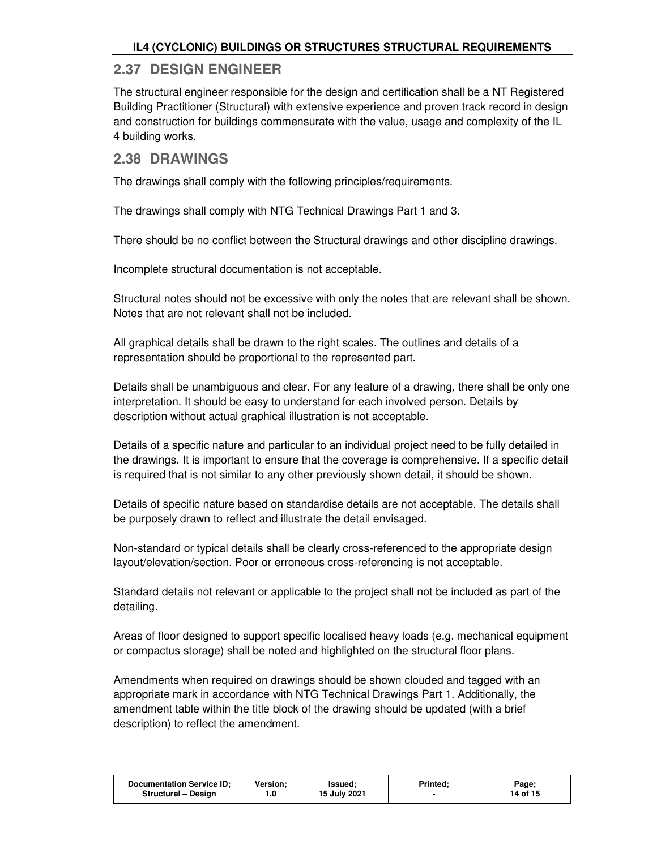### **2.37 DESIGN ENGINEER**

The structural engineer responsible for the design and certification shall be a NT Registered Building Practitioner (Structural) with extensive experience and proven track record in design and construction for buildings commensurate with the value, usage and complexity of the IL 4 building works.

### **2.38 DRAWINGS**

The drawings shall comply with the following principles/requirements.

The drawings shall comply with NTG Technical Drawings Part 1 and 3.

There should be no conflict between the Structural drawings and other discipline drawings.

Incomplete structural documentation is not acceptable.

Structural notes should not be excessive with only the notes that are relevant shall be shown. Notes that are not relevant shall not be included.

All graphical details shall be drawn to the right scales. The outlines and details of a representation should be proportional to the represented part.

Details shall be unambiguous and clear. For any feature of a drawing, there shall be only one interpretation. It should be easy to understand for each involved person. Details by description without actual graphical illustration is not acceptable.

Details of a specific nature and particular to an individual project need to be fully detailed in the drawings. It is important to ensure that the coverage is comprehensive. If a specific detail is required that is not similar to any other previously shown detail, it should be shown.

Details of specific nature based on standardise details are not acceptable. The details shall be purposely drawn to reflect and illustrate the detail envisaged.

Non-standard or typical details shall be clearly cross-referenced to the appropriate design layout/elevation/section. Poor or erroneous cross-referencing is not acceptable.

Standard details not relevant or applicable to the project shall not be included as part of the detailing.

Areas of floor designed to support specific localised heavy loads (e.g. mechanical equipment or compactus storage) shall be noted and highlighted on the structural floor plans.

Amendments when required on drawings should be shown clouded and tagged with an appropriate mark in accordance with NTG Technical Drawings Part 1. Additionally, the amendment table within the title block of the drawing should be updated (with a brief description) to reflect the amendment.

| Version:<br><b>Documentation Service ID:</b><br>Printed:<br>Issued:<br>Page;<br>15 July 2021<br>14 of 15<br>Structural - Design<br>0. ا |
|-----------------------------------------------------------------------------------------------------------------------------------------|
|-----------------------------------------------------------------------------------------------------------------------------------------|